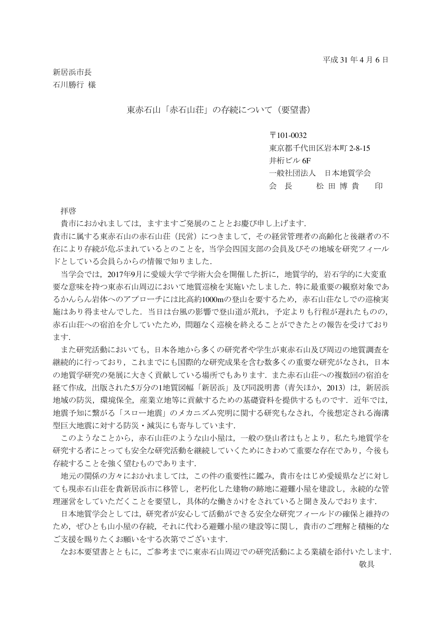新居浜市長 石川勝行 様

東赤石山「赤石山荘」の存続について(要望書)

## $\overline{7}101-0032$

東京都千代田区岩本町 2-8-15

井桁ビル 6F

一般社団法人 日本地質学会

会 長 松田 博 貴 印

拝啓

貴市におかれましては,ますますご発展のこととお慶び申し上げます.

貴市に属する東赤石山の赤石山荘(民営)につきまして,その経営管理者の高齢化と後継者の不 在により存続が危ぶまれているとのことを,当学会四国支部の会員及びその地域を研究フィール ドとしている会員らからの情報で知りました.

当学会では,2017年9月に愛媛大学で学術大会を開催した折に,地質学的,岩石学的に大変重 要な意味を持つ東赤石山周辺において地質巡検を実施いたしました.特に最重要の観察対象であ るかんらん岩体へのアプローチには比高約1000mの登山を要するため,赤石山荘なしでの巡検実 施はあり得ませんでした.当日は台風の影響で登山道が荒れ,予定よりも行程が遅れたものの, 赤石山荘への宿泊を介していたため,問題なく巡検を終えることができたとの報告を受けており ます.

また研究活動においても,日本各地から多くの研究者や学生が東赤石山及び周辺の地質調査を 継続的に行っており,これまでにも国際的な研究成果を含む数多くの重要な研究がなされ,日本 の地質学研究の発展に大きく貢献している場所でもあります.また赤石山荘への複数回の宿泊を 経て作成,出版された5万分の1地質図幅「新居浜」及び同説明書(青矢ほか,2013)は、新居浜 地域の防災,環境保全,産業立地等に貢献するための基礎資料を提供するものです. 近年では, 地震予知に繋がる「スロー地震」のメカニズム究明に関する研究もなされ,今後想定される海溝 型巨大地震に対する防災・減災にも寄与しています.

このようなことから,赤石山荘のような山小屋は,一般の登山者はもとより,私たち地質学を 研究する者にとっても安全な研究活動を継続していくためにきわめて重要な存在であり,今後も 存続することを強く望むものであります.

地元の関係の方々におかれましては,この件の重要性に鑑み,貴市をはじめ愛媛県などに対し ても現赤石山荘を貴新居浜市に移管し,老朽化した建物の跡地に避難小屋を建設し,永続的な管 理運営をしていただくことを要望し,具体的な働きかけをされていると聞き及んでおります.

日本地質学会としては,研究者が安心して活動ができる安全な研究フィールドの確保と維持の ため,ぜひとも山小屋の存続,それに代わる避難小屋の建設等に関し,貴市のご理解と積極的な ご支援を賜りたくお願いをする次第でございます.

なお本要望書とともに,ご参考までに東赤石山周辺での研究活動による業績を添付いたします. 敬具